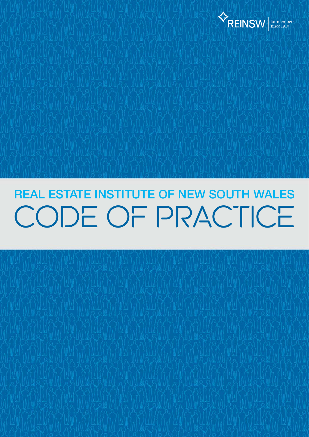

# CODE OF PRACTICE REAL ESTATE INSTITUTE OF NEW SOUTH WALES

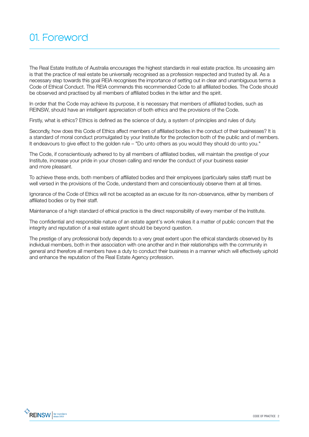The Real Estate Institute of Australia encourages the highest standards in real estate practice. Its unceasing aim is that the practice of real estate be universally recognised as a profession respected and trusted by all. As a necessary step towards this goal REIA recognises the importance of setting out in clear and unambiguous terms a Code of Ethical Conduct. The REIA commends this recommended Code to all affiliated bodies. The Code should be observed and practised by all members of affiliated bodies in the letter and the spirit.

In order that the Code may achieve its purpose, it is necessary that members of affiliated bodies, such as REINSW, should have an intelligent appreciation of both ethics and the provisions of the Code.

Firstly, what is ethics? Ethics is defined as the science of duty, a system of principles and rules of duty.

Secondly, how does this Code of Ethics affect members of affiliated bodies in the conduct of their businesses? It is a standard of moral conduct promulgated by your Institute for the protection both of the public and of members. It endeavours to give effect to the golden rule – "Do unto others as you would they should do unto you."

The Code, if conscientiously adhered to by all members of affiliated bodies, will maintain the prestige of your Institute, increase your pride in your chosen calling and render the conduct of your business easier and more pleasant.

To achieve these ends, both members of affiliated bodies and their employees (particularly sales staff) must be well versed in the provisions of the Code, understand them and conscientiously observe them at all times.

Ignorance of the Code of Ethics will not be accepted as an excuse for its non-observance, either by members of affiliated bodies or by their staff.

Maintenance of a high standard of ethical practice is the direct responsibility of every member of the Institute.

The confidential and responsible nature of an estate agent's work makes it a matter of public concern that the integrity and reputation of a real estate agent should be beyond question.

The prestige of any professional body depends to a very great extent upon the ethical standards observed by its individual members, both in their association with one another and in their relationships with the community in general and therefore all members have a duty to conduct their business in a manner which will effectively uphold and enhance the reputation of the Real Estate Agency profession.

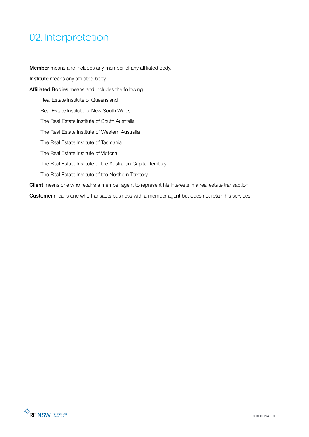# 02. Interpretation

Member means and includes any member of any affiliated body.

Institute means any affiliated body.

Affiliated Bodies means and includes the following:

Real Estate Institute of Queensland

Real Estate Institute of New South Wales

The ReaI Estate Institute of South Australia

The ReaI Estate Institute of Western Australia

The Real Estate Institute of Tasmania

The Real Estate Institute of Victoria

The Real Estate Institute of the Australian Capital Territory

The Real Estate Institute of the Northern Territory

Client means one who retains a member agent to represent his interests in a real estate transaction.

Customer means one who transacts business with a member agent but does not retain his services.

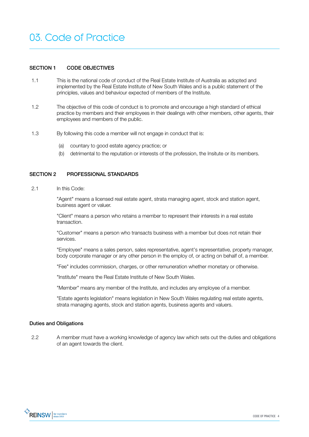# 03. Code of Practice

### SECTION 1 CODE OBJECTIVES

- 1.1 This is the national code of conduct of the Real Estate Institute of Australia as adopted and implemented by the Real Estate Institute of New South Wales and is a public statement of the principles, values and behaviour expected of members of the Institute.
- 1.2 The objective of this code of conduct is to promote and encourage a high standard of ethical practice by members and their employees in their dealings with other members, other agents, their employees and members of the public.
- 1.3 By following this code a member will not engage in conduct that is:
	- (a) countary to good estate agency practice; or
	- (b) detrimental to the reputation or interests of the profession, the Insitute or its members.

# SECTION 2 PROFESSIONAL STANDARDS

#### 2.1 In this Code:

"Agent" means a licensed real estate agent, strata managing agent, stock and station agent, business agent or valuer.

"Client" means a person who retains a member to represent their interests in a real estate transaction.

"Customer" means a person who transacts business with a member but does not retain their services.

"Employee" means a sales person, sales representative, agent's representative, property manager, body corporate manager or any other person in the employ of, or acting on behalf of, a member.

"Fee" includes commission, charges, or other remuneration whether monetary or otherwise.

"Institute" means the Real Estate Institute of New South Wales.

"Member" means any member of the Institute, and includes any employee of a member.

"Estate agents legislation" means legislation in New South Wales regulating real estate agents, strata managing agents, stock and station agents, business agents and valuers.

#### Duties and Obligations

2.2 A member must have a working knowledge of agency law which sets out the duties and obligations of an agent towards the client.

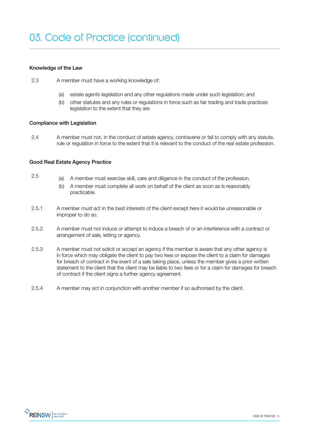# Knowledge of the Law

- 2.3 A member must have a working knowledge of:
	- (a) estate agents legislation and any other regulations made under such legislation; and
	- (b) other statutes and any rules or regulations in force such as fair trading and trade practices legislation to the extent that they are

# Compliance with Legislation

2.4 A member must not, in the conduct of estate agency, contravene or fail to comply with any statute, rule or regulation in force to the extent that it is relevant to the conduct of the real estate profession.

# Good Real Estate Agency Practice

- 2.5 (a) A member must exercise skill, care and diligence in the conduct of the profession.
	- (b) A member must complete all work on behalf of the client as soon as is reasonably practicable.
- 2.5.1 A member must act in the best interests of the client except here it would be unreasonable or improper to do so.
- 2.5.2 A member must not induce or attempt to induce a breach of or an interference with a contract or arrangement of sale, letting or agency.
- 2.5.3 A member must not solicit or accept an agency if the member is aware that any other agency is in force which may obligate the client to pay two fees or expose the client to a claim for damages for breach of contract in the event of a sale taking place, unless the member gives a prior written statement to the client that the client may be liable to two fees or for a claim for damages for breach of contract if the client signs a further agency agreement.
- 2.5.4 A member may act in conjunction with another member if so authorised by the client.

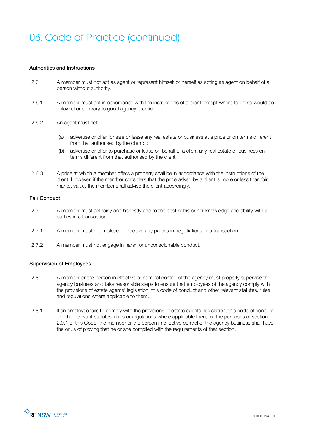#### Authorities and Instructions

- 2.6 A member must not act as agent or represent himself or herself as acting as agent on behalf of a person without authority.
- 2.6.1 A member must act in accordance with the instructions of a client except where to do so would be unlawful or contrary to good agency practice.
- 2.6.2 An agent must not:
	- (a) advertise or offer for sale or lease any real estate or business at a price or on terms different from that authorised by the client; or
	- (b) advertise or offer to purchase or lease on behalf of a client any real estate or business on terms different from that authorised by the client.
- 2.6.3 A price at which a member offers a property shall be in accordance with the instructions of the client. However, if the member considers that the price asked by a client is more or less than fair market value, the member shall advise the client accordingly.

#### Fair Conduct

- 2.7 A member must act fairly and honestly and to the best of his or her knowledge and ability with all parties in a transaction.
- 2.7.1 A member must not mislead or deceive any parties in negotiations or a transaction.
- 2.7.2 A member must not engage in harsh or unconscionable conduct.

## Supervision of Employees

- 2.8 A member or the person in effective or nominal control of the agency must properly supervise the agency business and take reasonable steps to ensure that employees of the agency comply with the provisions of estate agents' legislation, this code of conduct and other relevant statutes, rules and regulations where applicable to them.
- 2.8.1 If an employee fails to comply with the provisions of estate agents' legislation, this code of conduct or other relevant statutes, rules or regulations where applicable then, for the purposes of section 2.9.1 of this Code, the member or the person in effective control of the agency business shall have the onus of proving that he or she complied with the requirements of that section.

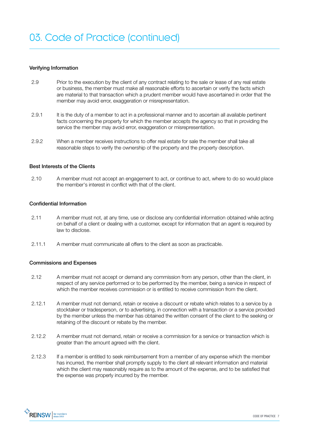#### Verifying Information

- 2.9 Prior to the execution by the client of any contract relating to the sale or lease of any real estate or business, the member must make all reasonable efforts to ascertain or verify the facts which are material to that transaction which a prudent member would have ascertained in order that the member may avoid error, exaggeration or misrepresentation.
- 2.9.1 It is the duty of a member to act in a professional manner and to ascertain all available pertinent facts concerning the property for which the member accepts the agency so that in providing the service the member may avoid error, exaggeration or misrepresentation.
- 2.9.2 When a member receives instructions to offer real estate for sale the member shall take all reasonable steps to verify the ownership of the property and the property description.

#### Best Interests of the Clients

2.10 A member must not accept an engagement to act, or continue to act, where to do so would place the member's interest in conflict with that of the client.

# Confidential Information

- 2.11 A member must not, at any time, use or disclose any confidential information obtained while acting on behalf of a client or dealing with a customer, except for information that an agent is required by law to disclose.
- 2.11.1 A member must communicate all offers to the client as soon as practicable.

#### Commissions and Expenses

- 2.12 A member must not accept or demand any commission from any person, other than the client, in respect of any service performed or to be performed by the member, being a service in respect of which the member receives commission or is entitled to receive commission from the client.
- 2.12.1 A member must not demand, retain or receive a discount or rebate which relates to a service by a stocktaker or tradesperson, or to advertising, in connection with a transaction or a service provided by the member unless the member has obtained the written consent of the client to the seeking or retaining of the discount or rebate by the member.
- 2.12.2 A member must not demand, retain or receive a commission for a service or transaction which is greater than the amount agreed with the client.
- 2.12.3 If a member is entitled to seek reimbursement from a member of any expense which the member has incurred, the member shall promptly supply to the client all relevant information and material which the client may reasonably require as to the amount of the expense, and to be satisfied that the expense was properly incurred by the member.

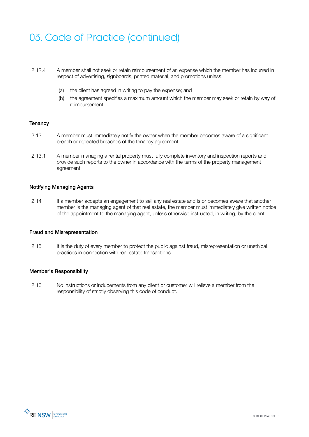- 2.12.4 A member shall not seek or retain reimbursement of an expense which the member has incurred in respect of advertising, signboards, printed material, and promotions unless:
	- (a) the client has agreed in writing to pay the expense; and
	- (b) the agreement specifies a maximum amount which the member may seek or retain by way of reimbursement.

# **Tenancy**

- 2.13 A member must immediately notify the owner when the member becomes aware of a significant breach or repeated breaches of the tenancy agreement.
- 2.13.1 A member managing a rental property must fully complete inventory and inspection reports and provide such reports to the owner in accordance with the terms of the property management agreement.

## Notifying Managing Agents

2.14 If a member accepts an engagement to sell any real estate and is or becomes aware that another member is the managing agent of that real estate, the member must immediately give written notice of the appointment to the managing agent, unless otherwise instructed, in writing, by the client.

#### Fraud and Misrepresentation

2.15 It is the duty of every member to protect the public against fraud, misrepresentation or unethical practices in connection with real estate transactions.

#### Member's Responsibility

2.16 No instructions or inducements from any client or customer will relieve a member from the responsibility of strictly observing this code of conduct.